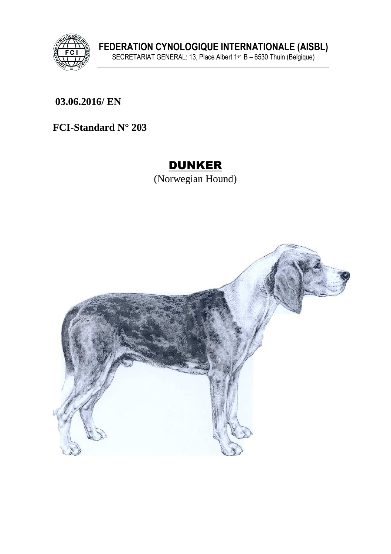

**FEDERATION CYNOLOGIQUE INTERNATIONALE (AISBL)** SECRETARIAT GENERAL: 13, Place Albert 1er B – 6530 Thuin (Belgique) **\_\_\_\_\_\_\_\_\_\_\_\_\_\_\_\_\_\_\_\_\_\_\_\_\_\_\_\_\_\_\_\_\_\_\_\_\_\_\_\_\_\_\_\_\_\_\_\_\_\_\_\_\_\_\_\_\_\_\_\_\_\_\_\_\_\_\_\_\_\_\_\_\_\_\_\_\_\_**

**\_\_\_\_\_\_\_\_\_\_\_\_\_\_\_\_\_\_\_\_\_\_\_\_\_\_\_\_\_\_\_\_\_\_\_\_\_\_\_\_\_\_\_\_\_\_\_\_\_\_\_\_\_\_\_\_\_\_\_\_\_\_\_ 03.06.2016/ EN** 

**FCI-Standard N° 203**

# DUNKER

(Norwegian Hound)

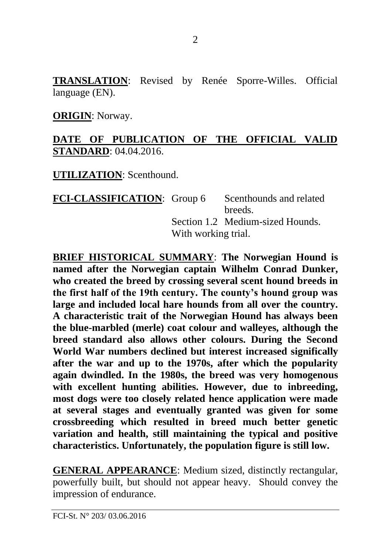**TRANSLATION**: Revised by Renée Sporre-Willes. Official language (EN).

**ORIGIN**: Norway.

#### **DATE OF PUBLICATION OF THE OFFICIAL VALID STANDARD**: 04.04.2016.

**UTILIZATION**: Scenthound.

**FCI-CLASSIFICATION:** Group 6 Scenthounds and related breeds. Section 1.2. Medium-sized Hounds. With working trial.

**BRIEF HISTORICAL SUMMARY**: **The Norwegian Hound is named after the Norwegian captain Wilhelm Conrad Dunker, who created the breed by crossing several scent hound breeds in the first half of the 19th century. The county's hound group was large and included local hare hounds from all over the country. A characteristic trait of the Norwegian Hound has always been the blue-marbled (merle) coat colour and walleyes, although the breed standard also allows other colours. During the Second World War numbers declined but interest increased significally after the war and up to the 1970s, after which the popularity again dwindled. In the 1980s, the breed was very homogenous with excellent hunting abilities. However, due to inbreeding, most dogs were too closely related hence application were made at several stages and eventually granted was given for some crossbreeding which resulted in breed much better genetic variation and health, still maintaining the typical and positive characteristics. Unfortunately, the population figure is still low.** 

**GENERAL APPEARANCE**: Medium sized, distinctly rectangular, powerfully built, but should not appear heavy. Should convey the impression of endurance.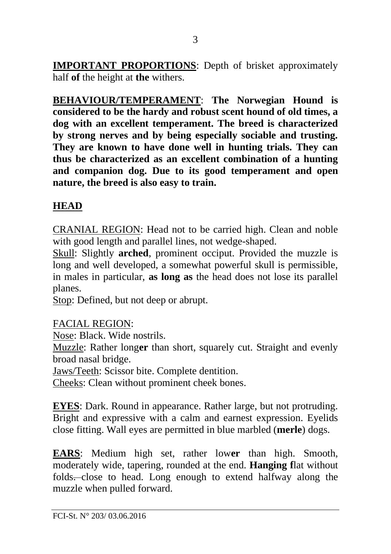**IMPORTANT PROPORTIONS**: Depth of brisket approximately half **of** the height at **the** withers.

**BEHAVIOUR/TEMPERAMENT**: **The Norwegian Hound is considered to be the hardy and robust scent hound of old times, a dog with an excellent temperament. The breed is characterized by strong nerves and by being especially sociable and trusting. They are known to have done well in hunting trials. They can thus be characterized as an excellent combination of a hunting and companion dog. Due to its good temperament and open nature, the breed is also easy to train.**

## **HEAD**

CRANIAL REGION: Head not to be carried high. Clean and noble with good length and parallel lines, not wedge-shaped.

Skull: Slightly **arched**, prominent occiput. Provided the muzzle is long and well developed, a somewhat powerful skull is permissible, in males in particular, **as long as** the head does not lose its parallel planes.

Stop: Defined, but not deep or abrupt*.*

#### FACIAL REGION:

Nose: Black. Wide nostrils.

Muzzle: Rather long**er** than short, squarely cut. Straight and evenly broad nasal bridge.

Jaws/Teeth: Scissor bite. Complete dentition.

Cheeks: Clean without prominent cheek bones.

**EYES**: Dark. Round in appearance. Rather large, but not protruding. Bright and expressive with a calm and earnest expression. Eyelids close fitting. Wall eyes are permitted in blue marbled (**merle**) dogs.

**EARS**: Medium high set, rather low**er** than high. Smooth, moderately wide, tapering, rounded at the end. **Hanging f**lat without folds. close to head. Long enough to extend halfway along the muzzle when pulled forward.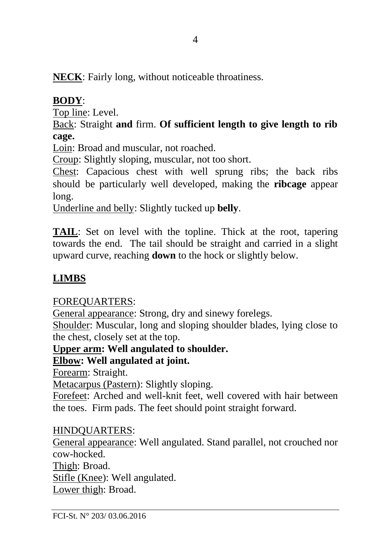**NECK**: Fairly long, without noticeable throatiness.

### **BODY**:

Top line: Level.

Back: Straight **and** firm. **Of sufficient length to give length to rib cage.**

Loin: Broad and muscular, not roached.

Croup: Slightly sloping, muscular, not too short.

Chest: Capacious chest with well sprung ribs; the back ribs should be particularly well developed, making the **ribcage** appear long.

Underline and belly: Slightly tucked up **belly**.

**TAIL**: Set on level with the topline. Thick at the root, tapering towards the end. The tail should be straight and carried in a slight upward curve, reaching **down** to the hock or slightly below.

## **LIMBS**

#### FOREQUARTERS:

General appearance: Strong, dry and sinewy forelegs.

Shoulder: Muscular, long and sloping shoulder blades, lying close to the chest, closely set at the top.

#### **Upper arm: Well angulated to shoulder.**

#### **Elbow: Well angulated at joint.**

Forearm: Straight.

Metacarpus (Pastern): Slightly sloping.

Forefeet: Arched and well-knit feet, well covered with hair between the toes. Firm pads. The feet should point straight forward.

#### HINDQUARTERS:

General appearance: Well angulated. Stand parallel, not crouched nor cow-hocked.

Thigh: Broad.

Stifle (Knee): Well angulated.

Lower thigh: Broad.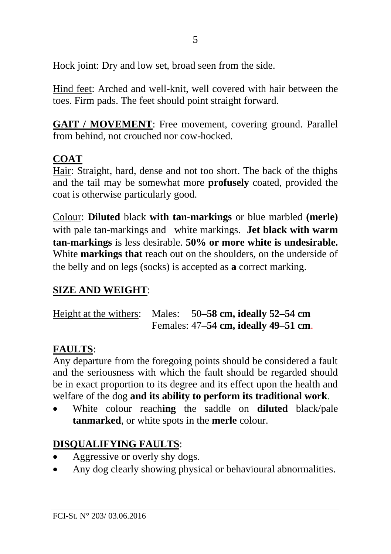Hock joint: Dry and low set, broad seen from the side.

Hind feet: Arched and well-knit, well covered with hair between the toes. Firm pads. The feet should point straight forward.

**GAIT / MOVEMENT**: Free movement, covering ground. Parallel from behind, not crouched nor cow-hocked.

# **COAT**

Hair: Straight, hard, dense and not too short. The back of the thighs and the tail may be somewhat more **profusely** coated, provided the coat is otherwise particularly good.

Colour: **Diluted** black **with tan-markings** or blue marbled **(merle)** with pale tan-markings and white markings. **Jet black with warm tan-markings** is less desirable. **50% or more white is undesirable.** White **markings that** reach out on the shoulders, on the underside of the belly and on legs (socks) is accepted as **a** correct marking.

## **SIZE AND WEIGHT**:

Height at the withers: Males: 50**–58 cm, ideally 52–54 cm** Females: 47**–54 cm, ideally 49–51 cm**.

## **FAULTS**:

Any departure from the foregoing points should be considered a fault and the seriousness with which the fault should be regarded should be in exact proportion to its degree and its effect upon the health and welfare of the dog **and its ability to perform its traditional work**.

• White colour reach**ing** the saddle on **diluted** black/pale **tanmarked**, or white spots in the **merle** colour.

# **DISQUALIFYING FAULTS**:

- Aggressive or overly shy dogs.
- Any dog clearly showing physical or behavioural abnormalities.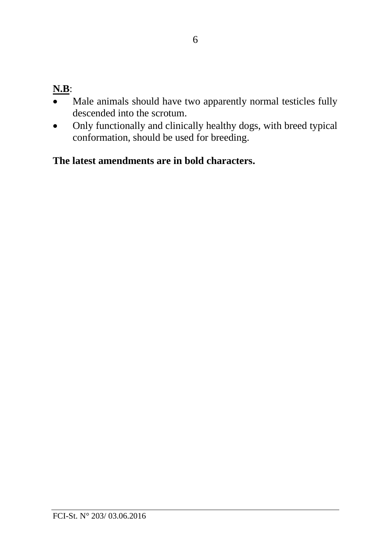## **N.B**:

- Male animals should have two apparently normal testicles fully descended into the scrotum.
- Only functionally and clinically healthy dogs, with breed typical conformation, should be used for breeding.

### **The latest amendments are in bold characters.**